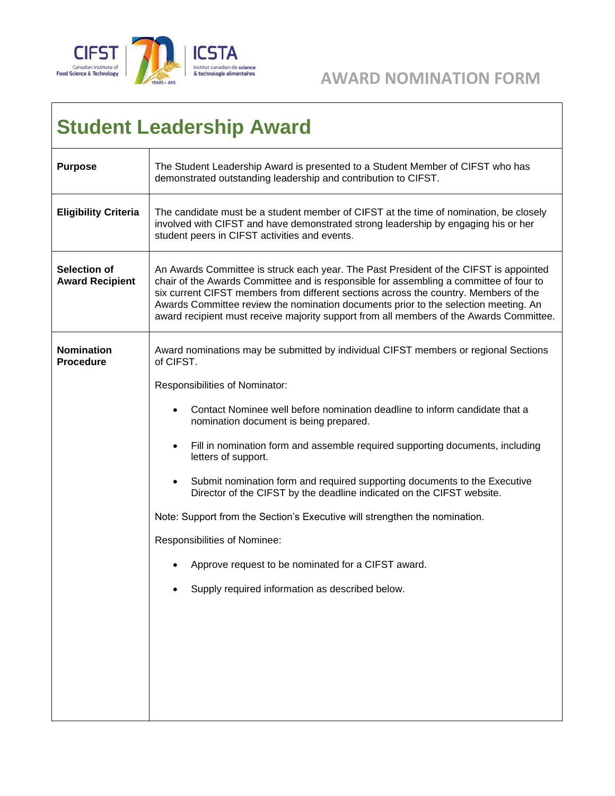

## **AWARD NOMINATION FORM**

## **Student Leadership Award**

| <b>Purpose</b>                                | The Student Leadership Award is presented to a Student Member of CIFST who has<br>demonstrated outstanding leadership and contribution to CIFST.                                                                                                                                                                                                                                                                                                                                                                                                                                                                                                                                                                                                                          |
|-----------------------------------------------|---------------------------------------------------------------------------------------------------------------------------------------------------------------------------------------------------------------------------------------------------------------------------------------------------------------------------------------------------------------------------------------------------------------------------------------------------------------------------------------------------------------------------------------------------------------------------------------------------------------------------------------------------------------------------------------------------------------------------------------------------------------------------|
| <b>Eligibility Criteria</b>                   | The candidate must be a student member of CIFST at the time of nomination, be closely<br>involved with CIFST and have demonstrated strong leadership by engaging his or her<br>student peers in CIFST activities and events.                                                                                                                                                                                                                                                                                                                                                                                                                                                                                                                                              |
| <b>Selection of</b><br><b>Award Recipient</b> | An Awards Committee is struck each year. The Past President of the CIFST is appointed<br>chair of the Awards Committee and is responsible for assembling a committee of four to<br>six current CIFST members from different sections across the country. Members of the<br>Awards Committee review the nomination documents prior to the selection meeting. An<br>award recipient must receive majority support from all members of the Awards Committee.                                                                                                                                                                                                                                                                                                                 |
| <b>Nomination</b><br><b>Procedure</b>         | Award nominations may be submitted by individual CIFST members or regional Sections<br>of CIFST.<br>Responsibilities of Nominator:<br>Contact Nominee well before nomination deadline to inform candidate that a<br>nomination document is being prepared.<br>Fill in nomination form and assemble required supporting documents, including<br>$\bullet$<br>letters of support.<br>Submit nomination form and required supporting documents to the Executive<br>$\bullet$<br>Director of the CIFST by the deadline indicated on the CIFST website.<br>Note: Support from the Section's Executive will strengthen the nomination.<br>Responsibilities of Nominee:<br>Approve request to be nominated for a CIFST award.<br>Supply required information as described below. |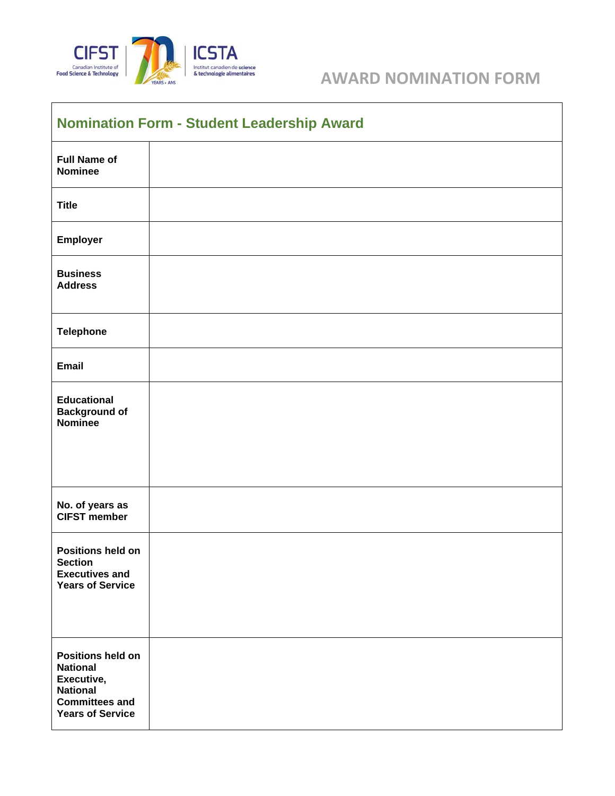

## Institut canadien de science<br>
& technologie alimentaires<br> **AWARD NOMINATION FORM**

| <b>Nomination Form - Student Leadership Award</b>                                                                                |  |  |
|----------------------------------------------------------------------------------------------------------------------------------|--|--|
| <b>Full Name of</b><br><b>Nominee</b>                                                                                            |  |  |
| <b>Title</b>                                                                                                                     |  |  |
| Employer                                                                                                                         |  |  |
| <b>Business</b><br><b>Address</b>                                                                                                |  |  |
| <b>Telephone</b>                                                                                                                 |  |  |
| <b>Email</b>                                                                                                                     |  |  |
| <b>Educational</b><br><b>Background of</b><br><b>Nominee</b>                                                                     |  |  |
|                                                                                                                                  |  |  |
| No. of years as<br><b>CIFST member</b>                                                                                           |  |  |
| Positions held on<br><b>Section</b><br><b>Executives and</b><br><b>Years of Service</b>                                          |  |  |
| <b>Positions held on</b><br><b>National</b><br>Executive,<br><b>National</b><br><b>Committees and</b><br><b>Years of Service</b> |  |  |